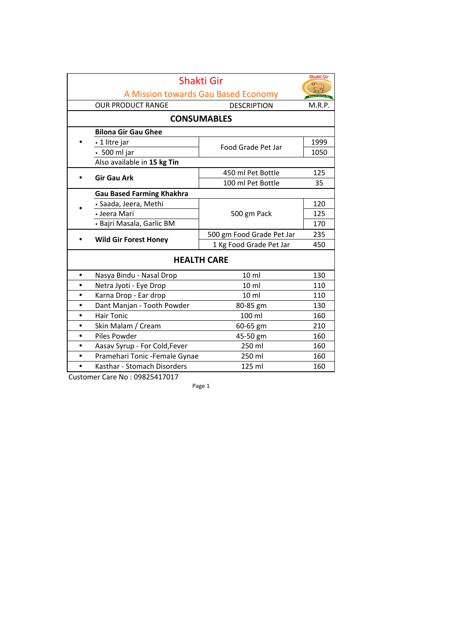|                    | Shakti Gir                          |                           |        |  |
|--------------------|-------------------------------------|---------------------------|--------|--|
|                    | A Mission towards Gau Based Economy |                           |        |  |
|                    | <b>OUR PRODUCT RANGE</b>            | <b>DESCRIPTION</b>        | M.R.P. |  |
| <b>CONSUMABLES</b> |                                     |                           |        |  |
|                    | <b>Bilona Gir Gau Ghee</b>          |                           |        |  |
|                    | ⋅ 1 litre jar                       | Food Grade Pet Jar        | 1999   |  |
|                    | $\cdot$ 500 ml jar                  |                           | 1050   |  |
|                    | Also available in 15 kg Tin         |                           |        |  |
|                    | <b>Gir Gau Ark</b>                  | 450 ml Pet Bottle         | 125    |  |
|                    |                                     | 100 ml Pet Bottle         | 35     |  |
|                    | <b>Gau Based Farming Khakhra</b>    |                           |        |  |
|                    | · Saada, Jeera, Methi               | 500 gm Pack               | 120    |  |
|                    | • Jeera Mari                        |                           | 125    |  |
|                    | • Bajri Masala, Garlic BM           |                           | 170    |  |
|                    | <b>Wild Gir Forest Honey</b>        | 500 gm Food Grade Pet Jar | 235    |  |
|                    |                                     | 1 Kg Food Grade Pet Jar   | 450    |  |
| <b>HEALTH CARE</b> |                                     |                           |        |  |
| $\bullet$          | Nasya Bindu - Nasal Drop            | 10 <sub>m</sub>           | 130    |  |
| $\bullet$          | Netra Jyoti - Eye Drop              | 10 <sub>ml</sub>          | 110    |  |
|                    | Karna Drop - Ear drop               | 10 <sub>m</sub>           | 110    |  |
| $\bullet$          | Dant Manjan - Tooth Powder          | 80-85 gm                  | 130    |  |
| $\bullet$          | <b>Hair Tonic</b>                   | 100 ml                    | 160    |  |
| $\bullet$          | Skin Malam / Cream                  | 60-65 gm                  | 210    |  |
|                    | Piles Powder                        | 45-50 gm                  | 160    |  |
|                    | Aasav Syrup - For Cold, Fever       | 250 ml                    | 160    |  |
|                    | Pramehari Tonic - Female Gynae      | 250 ml                    | 160    |  |
|                    | Kasthar - Stomach Disorders         | 125 ml                    | 160    |  |

Customer Care No: 09825417017

Page 1